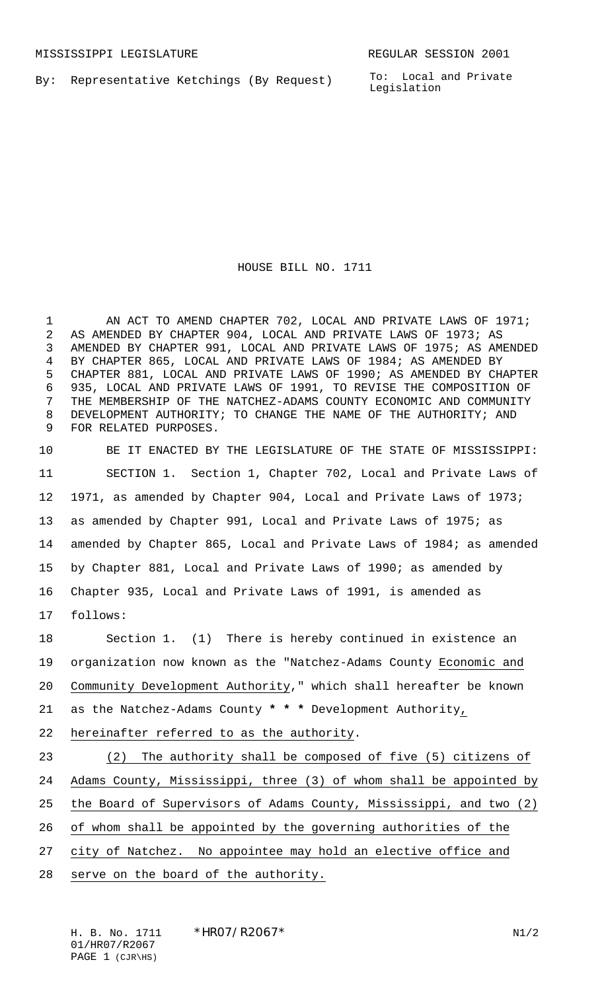By: Representative Ketchings (By Request)

To: Local and Private Legislation

HOUSE BILL NO. 1711

1 AN ACT TO AMEND CHAPTER 702, LOCAL AND PRIVATE LAWS OF 1971; AS AMENDED BY CHAPTER 904, LOCAL AND PRIVATE LAWS OF 1973; AS AMENDED BY CHAPTER 991, LOCAL AND PRIVATE LAWS OF 1975; AS AMENDED BY CHAPTER 865, LOCAL AND PRIVATE LAWS OF 1984; AS AMENDED BY CHAPTER 881, LOCAL AND PRIVATE LAWS OF 1990; AS AMENDED BY CHAPTER 935, LOCAL AND PRIVATE LAWS OF 1991, TO REVISE THE COMPOSITION OF THE MEMBERSHIP OF THE NATCHEZ-ADAMS COUNTY ECONOMIC AND COMMUNITY DEVELOPMENT AUTHORITY; TO CHANGE THE NAME OF THE AUTHORITY; AND FOR RELATED PURPOSES.

 BE IT ENACTED BY THE LEGISLATURE OF THE STATE OF MISSISSIPPI: SECTION 1. Section 1, Chapter 702, Local and Private Laws of 1971, as amended by Chapter 904, Local and Private Laws of 1973; as amended by Chapter 991, Local and Private Laws of 1975; as amended by Chapter 865, Local and Private Laws of 1984; as amended by Chapter 881, Local and Private Laws of 1990; as amended by Chapter 935, Local and Private Laws of 1991, is amended as follows:

 Section 1. (1) There is hereby continued in existence an organization now known as the "Natchez-Adams County Economic and Community Development Authority," which shall hereafter be known as the Natchez-Adams County **\* \* \*** Development Authority, hereinafter referred to as the authority. (2) The authority shall be composed of five (5) citizens of Adams County, Mississippi, three (3) of whom shall be appointed by the Board of Supervisors of Adams County, Mississippi, and two (2) of whom shall be appointed by the governing authorities of the

- 27 city of Natchez. No appointee may hold an elective office and
- serve on the board of the authority.